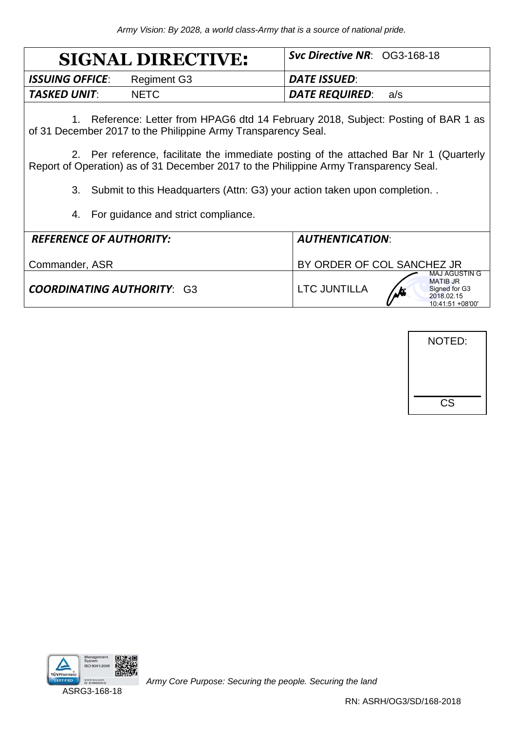|                        | <b>SIGNAL DIRECTIVE:</b> | <b>Syc Directive NR: OG3-168-18</b> |     |
|------------------------|--------------------------|-------------------------------------|-----|
| <b>ISSUING OFFICE:</b> | Regiment G3              | <b>DATE ISSUED:</b>                 |     |
| TASKED UNIT:           | NFTC.                    | DATE REQUIRED:                      | a/s |

1. Reference: Letter from HPAG6 dtd 14 February 2018, Subject: Posting of BAR 1 as of 31 December 2017 to the Philippine Army Transparency Seal.

2. Per reference, facilitate the immediate posting of the attached Bar Nr 1 (Quarterly Report of Operation) as of 31 December 2017 to the Philippine Army Transparency Seal.

3. Submit to this Headquarters (Attn: G3) your action taken upon completion. .

4. For guidance and strict compliance.

| <b>REFERENCE OF AUTHORITY:</b>    | <b>AUTHENTICATION:</b>                                                                                              |  |  |  |  |  |
|-----------------------------------|---------------------------------------------------------------------------------------------------------------------|--|--|--|--|--|
| Commander, ASR                    | BY ORDER OF COL SANCHEZ JR                                                                                          |  |  |  |  |  |
| <b>COORDINATING AUTHORITY: G3</b> | MAJ AGUSTIN G<br><b>MATIB JR</b><br>LTC JUNTILLA<br>Signed for G3<br>$\mathbf{r}$<br>2018.02.15<br>10:41:51 +08'00' |  |  |  |  |  |





ASRG3-168-18

*Army Core Purpose: Securing the people. Securing the land*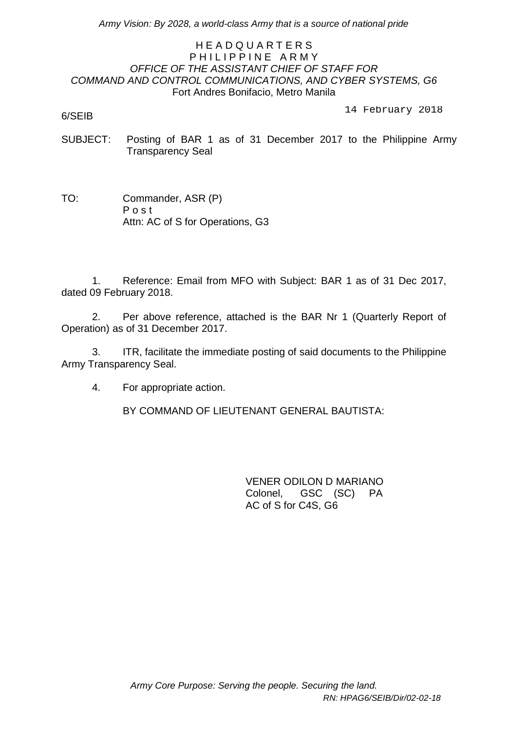*Army Vision: By 2028, a world-class Army that is a source of national pride*

## H E A D Q U A R T E R S PHILIPPINE ARMY *OFFICE OF THE ASSISTANT CHIEF OF STAFF FOR COMMAND AND CONTROL COMMUNICATIONS, AND CYBER SYSTEMS, G6* Fort Andres Bonifacio, Metro Manila

6/SEIB

14 February 2018

- SUBJECT: Posting of BAR 1 as of 31 December 2017 to the Philippine Army Transparency Seal
- TO: Commander, ASR (P) P o s t Attn: AC of S for Operations, G3

1. Reference: Email from MFO with Subject: BAR 1 as of 31 Dec 2017, dated 09 February 2018.

2. Per above reference, attached is the BAR Nr 1 (Quarterly Report of Operation) as of 31 December 2017.

3. ITR, facilitate the immediate posting of said documents to the Philippine Army Transparency Seal.

4. For appropriate action.

BY COMMAND OF LIEUTENANT GENERAL BAUTISTA:

VENER ODILON D MARIANO Colonel, GSC (SC) PA AC of S for C4S, G6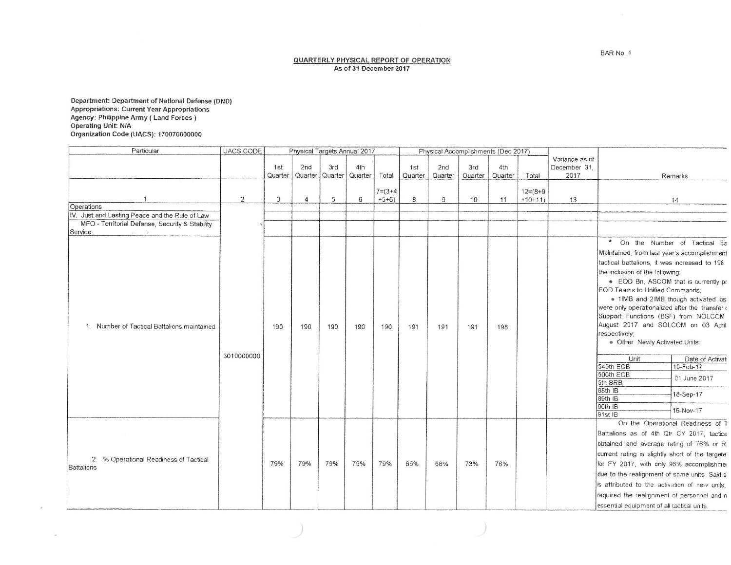**QUARTERLY PHYSICAL REPORT OF OPERATION** As of 31 December 2017

Department: Department of National Defense (DND)<br>Appropriations: Current Year Appropriations<br>Agency: Philippine Army ( Land Forces )<br>Operating Unit: N/A<br>Organization Code (UACS): 170070000000

 $\omega_{\rm c}$ 

| Particular                                           | <b>UACS CODE</b> | Physical Targets Annual 2017 |         |         |         |               | Physical Accomplishments (Dec 2017) |         |         |         |                |                |                                                 |
|------------------------------------------------------|------------------|------------------------------|---------|---------|---------|---------------|-------------------------------------|---------|---------|---------|----------------|----------------|-------------------------------------------------|
|                                                      |                  |                              |         |         |         |               |                                     |         |         |         |                | Variance as of |                                                 |
|                                                      |                  | 1st                          | 2nd     | 3rd     | 4th     |               | 1st                                 | 2nd     | 3rd     | 4th     |                | December 31.   |                                                 |
|                                                      |                  | Quarter                      | Quarter | Quarter | Quarter | Total         | Quarter                             | Quarter | Quarter | Quarter | Total          | 2017           | Remarks                                         |
|                                                      |                  |                              |         |         |         | $7 = (3 + 4)$ |                                     |         |         |         | $12 = (8 + 9)$ |                |                                                 |
|                                                      | $\overline{c}$   | 3                            | 4       | 5       | 6       | $+5+6)$       | 8                                   | 9       | 10      | 11      | $+10+11)$      | 13             | 14                                              |
| Operations                                           |                  |                              |         |         |         |               |                                     |         |         |         |                |                |                                                 |
| IV. Just and Lasting Peace and the Rule of Law       |                  |                              |         |         |         |               |                                     |         |         |         |                |                |                                                 |
| MFO - Territorial Defense, Security & Stability      |                  |                              |         |         |         |               |                                     |         |         |         |                |                |                                                 |
| Service                                              |                  |                              |         |         |         |               |                                     |         |         |         |                |                |                                                 |
|                                                      |                  |                              |         |         |         |               |                                     |         |         |         |                |                | $\star$<br>On the Number of Tactical Ba         |
|                                                      |                  |                              |         |         |         |               |                                     |         |         |         |                |                | Maintained, from last year's accomplishment     |
|                                                      |                  |                              |         |         |         |               |                                     |         |         |         |                |                | tactical battalions, it was increased to 198    |
|                                                      |                  |                              |         |         |         |               |                                     |         |         |         |                |                | the inclusion of the following:                 |
|                                                      |                  |                              |         |         |         |               |                                     |         |         |         |                |                | • EOD Bn, ASCOM that is currently pr            |
|                                                      |                  |                              |         |         |         |               |                                     |         |         |         |                |                | EOD Teams to Unified Commands:                  |
|                                                      |                  |                              |         |         |         |               |                                     |         |         |         |                |                | . 1IMB and 2IMB though activated last           |
|                                                      |                  |                              |         |         |         |               |                                     |         |         |         |                |                | were only operationalized after the transfer    |
|                                                      |                  |                              |         |         |         |               |                                     |         |         |         |                |                | Support Functions (BSF) from NOLCOM             |
| 1. Number of Tactical Battalions maintained          |                  | 190                          | 190     | 190     | 190     | 190           | 191                                 | 191     | 191     | 198     |                |                | August 2017 and SOLCOM on 03 April              |
|                                                      |                  |                              |         |         |         |               |                                     |         |         |         |                |                | respectively;                                   |
|                                                      |                  |                              |         |         |         |               |                                     |         |         |         |                |                | . Other Newly Activated Units:                  |
|                                                      | 3010000000       |                              |         |         |         |               |                                     |         |         |         |                |                | Unit<br>Date of Activat                         |
|                                                      |                  |                              |         |         |         |               |                                     |         |         |         |                |                | 549th ECB<br>10-Feb-17                          |
|                                                      |                  |                              |         |         |         |               |                                     |         |         |         |                |                | 500th ECB<br>01 June 2017                       |
|                                                      |                  |                              |         |         |         |               |                                     |         |         |         |                |                | 5th SRB                                         |
|                                                      |                  |                              |         |         |         |               |                                     |         |         |         |                |                | 88th IB<br>18-Sep-17                            |
|                                                      |                  |                              |         |         |         |               |                                     |         |         |         |                |                | 89th IB<br>90th IB                              |
|                                                      |                  |                              |         |         |         |               |                                     |         |         |         |                |                | 16-Nov-17<br>91st IB                            |
|                                                      |                  |                              |         |         |         |               |                                     |         |         |         |                |                | On the Operational Readiness of T               |
| 2. % Operational Readiness of Tactical<br>Battalions |                  |                              |         | 79%     | 79%     | 79%           | 65%                                 | 68%     |         |         |                |                | Battalions as of 4th Qtr CY 2017, tactical      |
|                                                      |                  | 79%                          |         |         |         |               |                                     |         |         |         |                |                | obtained and average rating of 76% or R:        |
|                                                      |                  |                              |         |         |         |               |                                     |         |         |         |                |                | current rating is slightly short of the targete |
|                                                      |                  |                              | 79%     |         |         |               |                                     |         | 73%     | 76%     |                |                | for FY 2017, with only 96% accomplishmer        |
|                                                      |                  |                              |         |         |         |               |                                     |         |         |         |                |                | due to the realignment of some units Said s     |
|                                                      |                  |                              |         |         |         |               |                                     |         |         |         |                |                | is attributed to the activation of new units.   |
|                                                      |                  |                              |         |         |         |               |                                     |         |         |         |                |                | required the realignment of personnel and n     |
|                                                      |                  |                              |         |         |         |               |                                     |         |         |         |                |                | essential equipment of all tactical units       |

 $\sim$